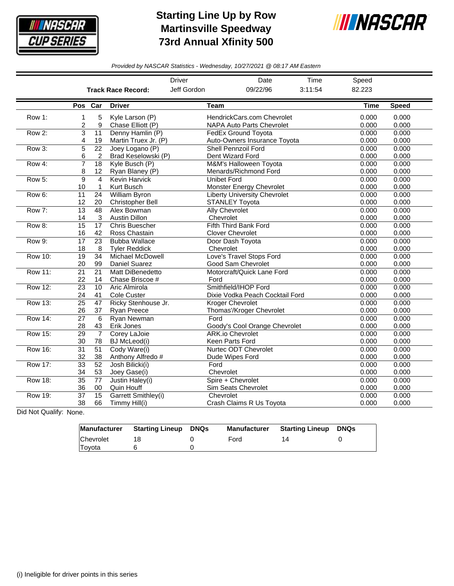

## **Starting Line Up by Row Martinsville Speedway 73rd Annual Xfinity 500**



*Provided by NASCAR Statistics - Wednesday, 10/27/2021 @ 08:17 AM Eastern*

|                |                              |                                |                                                 | Driver      | Date                                                           | Time    | Speed          |                |
|----------------|------------------------------|--------------------------------|-------------------------------------------------|-------------|----------------------------------------------------------------|---------|----------------|----------------|
|                |                              |                                | <b>Track Race Record:</b>                       | Jeff Gordon | 09/22/96                                                       | 3:11:54 | 82.223         |                |
|                | Pos Car                      |                                | <b>Driver</b>                                   | <b>Team</b> |                                                                |         | <b>Time</b>    | <b>Speed</b>   |
| Row 1:         | 1<br>$\overline{\mathbf{c}}$ | 5<br>9                         | Kyle Larson (P)<br>Chase Elliott (P)            |             | HendrickCars.com Chevrolet<br><b>NAPA Auto Parts Chevrolet</b> |         | 0.000<br>0.000 | 0.000<br>0.000 |
| Row 2:         | 3<br>4                       | 11<br>19                       | Denny Hamlin (P)<br>Martin Truex Jr. (P)        |             | <b>FedEx Ground Toyota</b><br>Auto-Owners Insurance Toyota     |         | 0.000<br>0.000 | 0.000<br>0.000 |
| Row 3:         | $\overline{5}$<br>6          | $\overline{22}$<br>2           | Joey Logano (P)<br>Brad Keselowski (P)          |             | <b>Shell Pennzoil Ford</b><br>Dent Wizard Ford                 |         | 0.000<br>0.000 | 0.000<br>0.000 |
| Row 4:         | 7<br>8                       | $\overline{18}$<br>12          | Kyle Busch (P)<br>Ryan Blaney (P)               |             | M&M's Halloween Toyota<br>Menards/Richmond Ford                |         | 0.000<br>0.000 | 0.000<br>0.000 |
| Row 5:         | 9<br>10                      | $\overline{4}$<br>$\mathbf{1}$ | <b>Kevin Harvick</b><br>Kurt Busch              |             | <b>Unibet Ford</b><br>Monster Energy Chevrolet                 |         | 0.000<br>0.000 | 0.000<br>0.000 |
| Row 6:         | 11<br>12                     | 24<br>20                       | William Byron<br>Christopher Bell               |             | <b>Liberty University Chevrolet</b><br><b>STANLEY Toyota</b>   |         | 0.000<br>0.000 | 0.000<br>0.000 |
| Row 7:         | $\overline{13}$<br>14        | 48<br>3                        | Alex Bowman<br><b>Austin Dillon</b>             |             | <b>Ally Chevrolet</b><br>Chevrolet                             |         | 0.000<br>0.000 | 0.000<br>0.000 |
| Row 8:         | 15<br>16                     | 17<br>42                       | Chris Buescher<br>Ross Chastain                 |             | Fifth Third Bank Ford<br><b>Clover Chevrolet</b>               |         | 0.000<br>0.000 | 0.000<br>0.000 |
| Row 9:         | 17<br>18                     | 23<br>8                        | <b>Bubba Wallace</b><br><b>Tyler Reddick</b>    |             | Door Dash Toyota<br>Chevrolet                                  |         | 0.000<br>0.000 | 0.000<br>0.000 |
| <b>Row 10:</b> | 19<br>20                     | 34<br>99                       | <b>Michael McDowell</b><br><b>Daniel Suarez</b> |             | Love's Travel Stops Ford<br>Good Sam Chevrolet                 |         | 0.000<br>0.000 | 0.000<br>0.000 |
| <b>Row 11:</b> | 21<br>22                     | 21<br>14                       | Matt DiBenedetto<br>Chase Briscoe #             | Ford        | Motorcraft/Quick Lane Ford                                     |         | 0.000<br>0.000 | 0.000<br>0.000 |
| <b>Row 12:</b> | $\overline{23}$<br>24        | 10<br>41                       | Aric Almirola<br>Cole Custer                    |             | Smithfield/IHOP Ford<br>Dixie Vodka Peach Cocktail Ford        |         | 0.000<br>0.000 | 0.000<br>0.000 |
| Row 13:        | $\overline{25}$<br>26        | 47<br>37                       | Ricky Stenhouse Jr.<br><b>Ryan Preece</b>       |             | <b>Kroger Chevrolet</b><br>Thomas'/Kroger Chevrolet            |         | 0.000<br>0.000 | 0.000<br>0.000 |
| Row 14:        | 27<br>28                     | 6<br>43                        | Ryan Newman<br>Erik Jones                       | Ford        | Goody's Cool Orange Chevrolet                                  |         | 0.000<br>0.000 | 0.000<br>0.000 |
| <b>Row 15:</b> | 29<br>30                     | $\overline{7}$<br>78           | Corey LaJoie<br><b>BJ</b> McLeod(i)             |             | <b>ARK.io Chevrolet</b><br>Keen Parts Ford                     |         | 0.000<br>0.000 | 0.000<br>0.000 |
| Row 16:        | $\overline{31}$<br>32        | $\overline{51}$<br>38          | Cody Ware(i)<br>Anthony Alfredo #               |             | Nurtec ODT Chevrolet<br>Dude Wipes Ford                        |         | 0.000<br>0.000 | 0.000<br>0.000 |
| <b>Row 17:</b> | $\overline{33}$<br>34        | $\overline{52}$<br>53          | Josh Bilicki(i)<br>Joey Gase(i)                 | Ford        | Chevrolet                                                      |         | 0.000<br>0.000 | 0.000<br>0.000 |
| <b>Row 18:</b> | $\overline{35}$<br>36        | 77<br>00                       | Justin Haley(i)<br>Quin Houff                   |             | Spire + Chevrolet<br>Sim Seats Chevrolet                       |         | 0.000<br>0.000 | 0.000<br>0.000 |
| <b>Row 19:</b> | $\overline{37}$<br>38        | $\overline{15}$<br>66          | Garrett Smithley(i)<br>Timmy Hill(i)            |             | Chevrolet<br>Crash Claims R Us Toyota                          |         | 0.000<br>0.000 | 0.000<br>0.000 |

Did Not Qualify: None.

|               | Manufacturer Starting Lineup DNQs | Manufacturer | <b>Starting Lineup DNQs</b> |  |
|---------------|-----------------------------------|--------------|-----------------------------|--|
| Chevrolet     |                                   | Ford         |                             |  |
| <b>Tovota</b> |                                   |              |                             |  |